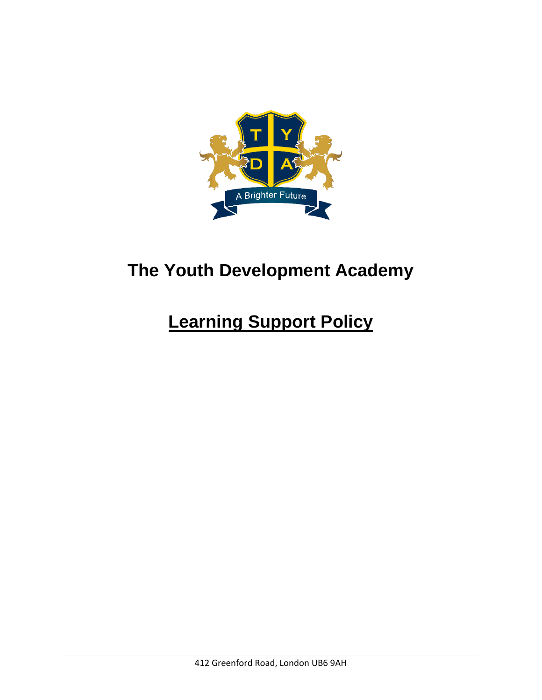

## **The Youth Development Academy**

# **Learning Support Policy**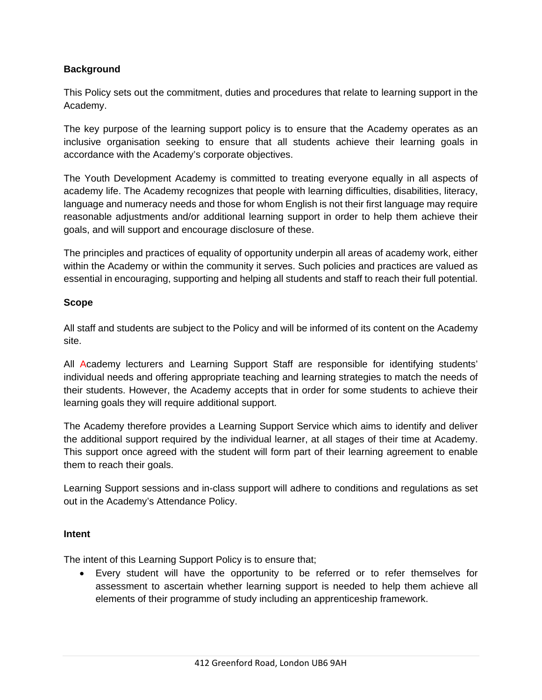## **Background**

This Policy sets out the commitment, duties and procedures that relate to learning support in the Academy.

The key purpose of the learning support policy is to ensure that the Academy operates as an inclusive organisation seeking to ensure that all students achieve their learning goals in accordance with the Academy's corporate objectives.

The Youth Development Academy is committed to treating everyone equally in all aspects of academy life. The Academy recognizes that people with learning difficulties, disabilities, literacy, language and numeracy needs and those for whom English is not their first language may require reasonable adjustments and/or additional learning support in order to help them achieve their goals, and will support and encourage disclosure of these.

The principles and practices of equality of opportunity underpin all areas of academy work, either within the Academy or within the community it serves. Such policies and practices are valued as essential in encouraging, supporting and helping all students and staff to reach their full potential.

#### **Scope**

All staff and students are subject to the Policy and will be informed of its content on the Academy site.

All Academy lecturers and Learning Support Staff are responsible for identifying students' individual needs and offering appropriate teaching and learning strategies to match the needs of their students. However, the Academy accepts that in order for some students to achieve their learning goals they will require additional support.

The Academy therefore provides a Learning Support Service which aims to identify and deliver the additional support required by the individual learner, at all stages of their time at Academy. This support once agreed with the student will form part of their learning agreement to enable them to reach their goals.

Learning Support sessions and in-class support will adhere to conditions and regulations as set out in the Academy's Attendance Policy.

#### **Intent**

The intent of this Learning Support Policy is to ensure that;

• Every student will have the opportunity to be referred or to refer themselves for assessment to ascertain whether learning support is needed to help them achieve all elements of their programme of study including an apprenticeship framework.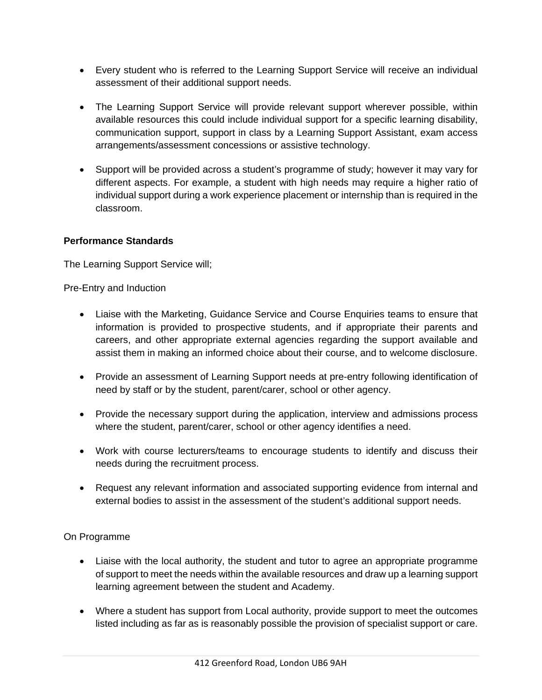- Every student who is referred to the Learning Support Service will receive an individual assessment of their additional support needs.
- The Learning Support Service will provide relevant support wherever possible, within available resources this could include individual support for a specific learning disability, communication support, support in class by a Learning Support Assistant, exam access arrangements/assessment concessions or assistive technology.
- Support will be provided across a student's programme of study; however it may vary for different aspects. For example, a student with high needs may require a higher ratio of individual support during a work experience placement or internship than is required in the classroom.

### **Performance Standards**

The Learning Support Service will;

Pre-Entry and Induction

- Liaise with the Marketing, Guidance Service and Course Enquiries teams to ensure that information is provided to prospective students, and if appropriate their parents and careers, and other appropriate external agencies regarding the support available and assist them in making an informed choice about their course, and to welcome disclosure.
- Provide an assessment of Learning Support needs at pre-entry following identification of need by staff or by the student, parent/carer, school or other agency.
- Provide the necessary support during the application, interview and admissions process where the student, parent/carer, school or other agency identifies a need.
- Work with course lecturers/teams to encourage students to identify and discuss their needs during the recruitment process.
- Request any relevant information and associated supporting evidence from internal and external bodies to assist in the assessment of the student's additional support needs.

## On Programme

- Liaise with the local authority, the student and tutor to agree an appropriate programme of support to meet the needs within the available resources and draw up a learning support learning agreement between the student and Academy.
- Where a student has support from Local authority, provide support to meet the outcomes listed including as far as is reasonably possible the provision of specialist support or care.